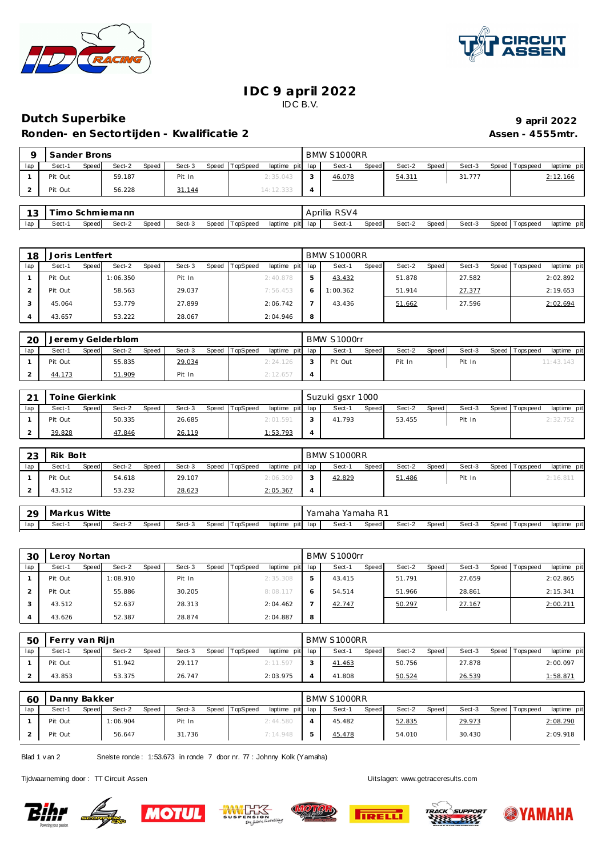



## **IDC 9 april 2022** IDC B.V.

## **Dutch Superbike 9 april 2022**

Ronden- en Sectortijden - Kwalificatie 2 **Assen - 4555mtr.** Assen - 4555mtr.

|     | Sander Brons |       |        |       |        |       |                 |                 | BMW S1000RR |       |        |       |        |                |             |
|-----|--------------|-------|--------|-------|--------|-------|-----------------|-----------------|-------------|-------|--------|-------|--------|----------------|-------------|
| lap | Sect-1       | Speed | Sect-2 | Speed | Sect-3 | Speed | <b>TopSpeed</b> | laptime pit lap | Sect-1      | Speed | Sect-2 | Speed | Sect-3 | Speed Topspeed | laptime pit |
|     | Pit Out      |       | 59.187 |       | Pit In |       |                 | 2:35.043        | 46.078      |       | 54.311 |       | 31.777 |                | 2:12.166    |
| ▵   | Pit Out      |       | 56.228 |       | 31.144 |       |                 | 14:12.333       |             |       |        |       |        |                |             |
|     |              |       |        |       |        |       |                 |                 |             |       |        |       |        |                |             |

| $\sim$<br>w | ım    |        | Schmiemann |       |        |                   |                    | .<br>RSV4<br>Aprilia |       |        |       |        |                            |                 |
|-------------|-------|--------|------------|-------|--------|-------------------|--------------------|----------------------|-------|--------|-------|--------|----------------------------|-----------------|
| lap         | Sect- | Speed. | Sect-2     | Speed | Sect-3 | TopSpeed<br>Speed | laptime<br>pit lap | Sect-                | Speed | Sect-2 | Speed | Sect-3 | Speed $\top$<br>Tops pee d | pitl<br>laptime |

| 18  | Joris Lentfert  |                 |                 |                                    |   | BMW S1000RR |       |        |       |        |                 |             |
|-----|-----------------|-----------------|-----------------|------------------------------------|---|-------------|-------|--------|-------|--------|-----------------|-------------|
| lap | Sect-1<br>Speed | Sect-2<br>Speed | Sect-3<br>Speed | <b>TopSpeed</b><br>laptime pit lap |   | Sect-1      | Speed | Sect-2 | Speed | Sect-3 | Speed Tops peed | laptime pit |
|     | Pit Out         | 1:06.350        | Pit In          | 2:40.878                           |   | 43.432      |       | 51.878 |       | 27.582 |                 | 2:02.892    |
|     | Pit Out         | 58.563          | 29.037          | 7:56.453                           |   | 1:00.362    |       | 51.914 |       | 27.377 |                 | 2:19.653    |
|     | 45.064          | 53.779          | 27.899          | 2:06.742                           |   | 43.436      |       | 51.662 |       | 27.596 |                 | 2:02.694    |
|     | 43.657          | 53.222          | 28.067          | 2:04.946                           | 8 |             |       |        |       |        |                 |             |

| 20  | Jeremy Gelderblom |       |        |       |        |       |          |                 | BMW S1000rr |       |        |         |        |                   |             |
|-----|-------------------|-------|--------|-------|--------|-------|----------|-----------------|-------------|-------|--------|---------|--------|-------------------|-------------|
| lap | Sect-′            | Speed | Sect-2 | Speed | Sect-3 | Speed | TopSpeed | laptime pit lap | Sect-1      | Speed | Sect-2 | Speed I | Sect-3 | Speed   Tops peed | laptime pit |
|     | Pit Out           |       | 55.835 |       | 29.034 |       |          | 2:24.126        | Pit Out     |       | Pit In |         | Pit In |                   | 11:43.143   |
|     | 44.173            |       | 51.909 |       | Pit In |       |          | 2:12.657        |             |       |        |         |        |                   |             |

| $\sim$ | Toine Gierkink |       |        |       |        |       |          |                 | Suzuki gsxr 1000 |              |        |       |        |                 |             |
|--------|----------------|-------|--------|-------|--------|-------|----------|-----------------|------------------|--------------|--------|-------|--------|-----------------|-------------|
| lap    | Sect-1         | Speed | Sect-2 | Speed | Sect-3 | Speed | TopSpeed | laptime pit lap | Sect-1           | <b>Speed</b> | Sect-2 | Speed | Sect-3 | Speed Tops peed | laptime pit |
|        | Pit Out        |       | 50.335 |       | 26.685 |       |          | 2:01.591        | 41.793           |              | 53.455 |       | Pit In |                 | 2:32.752    |
|        | 39.828         |       | 47.846 |       | 26.119 |       |          | 1:53.793        |                  |              |        |       |        |                 |             |

| 23  | Rik Bolt |       |        |       |        |       |          |                 | BMW S1000RR |       |        |       |        |                 |             |  |
|-----|----------|-------|--------|-------|--------|-------|----------|-----------------|-------------|-------|--------|-------|--------|-----------------|-------------|--|
| lap | Sect-1   | Speed | Sect-2 | Speed | Sect-3 | Speed | TopSpeed | laptime pit lap | Sect-1      | Speed | Sect-2 | Speed | Sect-3 | Speed Tops peed | laptime pit |  |
|     | Pit Out  |       | 54.618 |       | 29.107 |       |          | 2:06.309        | 42.829      |       | 51.486 |       | Pit In |                 | 2:16.811    |  |
|     | 43.512   |       | 53.232 |       | 28.623 |       |          | 2:05.367        |             |       |        |       |        |                 |             |  |

| -29 | Markus Witte |       |        |       |        |                |                 | Yamaha Yamaha R1 |       |        |       |        |                |             |
|-----|--------------|-------|--------|-------|--------|----------------|-----------------|------------------|-------|--------|-------|--------|----------------|-------------|
| lap | Sect-        | Speed | Sect-2 | Speed | Sect-3 | Speed TopSpeed | laptime pit lap | Sect-1           | Speed | Sect-2 | Speed | Sect-3 | Speed Topspeed | laptime pit |

| 30  | Leroy Nortan |       |          |       |        |       |          |             |     | BMW S1000rr |       |        |       |        |                |             |
|-----|--------------|-------|----------|-------|--------|-------|----------|-------------|-----|-------------|-------|--------|-------|--------|----------------|-------------|
| lap | Sect-1       | Speed | Sect-2   | Speed | Sect-3 | Speed | TopSpeed | laptime pit | lap | Sect-1      | Speed | Sect-2 | Speed | Sect-3 | Speed Topspeed | laptime pit |
|     | Pit Out      |       | 1:08.910 |       | Pit In |       |          | 2:35.308    | 5   | 43.415      |       | 51.791 |       | 27.659 |                | 2:02.865    |
|     | Pit Out      |       | 55.886   |       | 30.205 |       |          | 8:08.117    |     | 54.514      |       | 51.966 |       | 28.861 |                | 2:15.341    |
|     | 43.512       |       | 52.637   |       | 28.313 |       |          | 2:04.462    |     | 42.747      |       | 50.297 |       | 27.167 |                | 2:00.211    |
|     | 43.626       |       | 52.387   |       | 28.874 |       |          | 2:04.887    | 8   |             |       |        |       |        |                |             |

| 50  | Ferry van Rijn |       |        |              |        |       |          |                 | BMW S1000RR |       |        |       |        |                 |             |
|-----|----------------|-------|--------|--------------|--------|-------|----------|-----------------|-------------|-------|--------|-------|--------|-----------------|-------------|
| lap | Sect-1         | Speed | Sect-2 | <b>Speed</b> | Sect-3 | Speed | TopSpeed | laptime pit lap | Sect-1      | Speed | Sect-2 | Speed | Sect-3 | Speed Tops peed | laptime pit |
|     | Pit Out        |       | 51.942 |              | 29.117 |       |          | 2:11.597        | 41.463      |       | 50.756 |       | 27.878 |                 | 2:00.097    |
|     | 43.853         |       | 53.375 |              | 26.747 |       |          | 2:03.975        | 41.808      |       | 50.524 |       | 26.539 |                 | 1:58.871    |

| 60  | Danny Bakker |       |          |              |        |                |                 | BMW S1000RR |       |        |       |        |                 |             |
|-----|--------------|-------|----------|--------------|--------|----------------|-----------------|-------------|-------|--------|-------|--------|-----------------|-------------|
| lap | Sect-1       | Speed | Sect-2   | <b>Speed</b> | Sect-3 | Speed TopSpeed | laptime pit lap | $Sect-1$    | Speed | Sect-2 | Speed | Sect-3 | Speed Tops peed | laptime pit |
|     | Pit Out      |       | 1:06.904 |              | Pit In |                | 2:44.580        | 45.482      |       | 52.835 |       | 29.973 |                 | 2:08.290    |
|     | Pit Out      |       | 56.647   |              | 31.736 |                | 7:14.948        | 45.478      |       | 54.010 |       | 30.430 |                 | 2:09.918    |

Blad 1 v an 2 Snelste ronde : 1:53.673 in ronde 7 door nr. 77 : Johnny Kolk (Yamaha)

Tijdwaarneming door : TT Circuit Assen enter the state of the Uitslagen:<www.getraceresults.com>